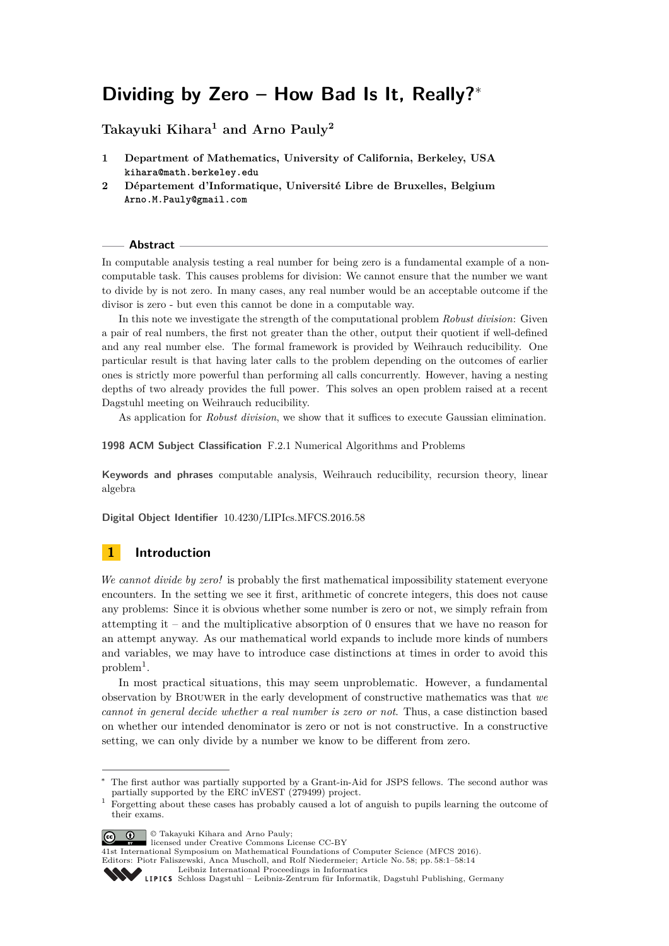# **Dividing by Zero – How Bad Is It, Really?**<sup>∗</sup>

**Takayuki Kihara<sup>1</sup> and Arno Pauly<sup>2</sup>**

- **1 Department of Mathematics, University of California, Berkeley, USA kihara@math.berkeley.edu**
- **2 Département d'Informatique, Université Libre de Bruxelles, Belgium Arno.M.Pauly@gmail.com**

### **Abstract**

In computable analysis testing a real number for being zero is a fundamental example of a noncomputable task. This causes problems for division: We cannot ensure that the number we want to divide by is not zero. In many cases, any real number would be an acceptable outcome if the divisor is zero - but even this cannot be done in a computable way.

In this note we investigate the strength of the computational problem *Robust division*: Given a pair of real numbers, the first not greater than the other, output their quotient if well-defined and any real number else. The formal framework is provided by Weihrauch reducibility. One particular result is that having later calls to the problem depending on the outcomes of earlier ones is strictly more powerful than performing all calls concurrently. However, having a nesting depths of two already provides the full power. This solves an open problem raised at a recent Dagstuhl meeting on Weihrauch reducibility.

As application for *Robust division*, we show that it suffices to execute Gaussian elimination.

**1998 ACM Subject Classification** F.2.1 Numerical Algorithms and Problems

**Keywords and phrases** computable analysis, Weihrauch reducibility, recursion theory, linear algebra

**Digital Object Identifier** [10.4230/LIPIcs.MFCS.2016.58](http://dx.doi.org/10.4230/LIPIcs.MFCS.2016.58)

# **1 Introduction**

*We cannot divide by zero!* is probably the first mathematical impossibility statement everyone encounters. In the setting we see it first, arithmetic of concrete integers, this does not cause any problems: Since it is obvious whether some number is zero or not, we simply refrain from attempting it – and the multiplicative absorption of 0 ensures that we have no reason for an attempt anyway. As our mathematical world expands to include more kinds of numbers and variables, we may have to introduce case distinctions at times in order to avoid this  $problem<sup>1</sup>$  $problem<sup>1</sup>$  $problem<sup>1</sup>$ .

In most practical situations, this may seem unproblematic. However, a fundamental observation by Brouwer in the early development of constructive mathematics was that *we cannot in general decide whether a real number is zero or not*. Thus, a case distinction based on whether our intended denominator is zero or not is not constructive. In a constructive setting, we can only divide by a number we know to be different from zero.

© Takayuki Kihara and Arno Pauly; licensed under Creative Commons License CC-BY

[Leibniz International Proceedings in Informatics](http://www.dagstuhl.de/lipics/)



The first author was partially supported by a Grant-in-Aid for JSPS fellows. The second author was partially supported by the ERC inVEST (279499) project.

<span id="page-0-0"></span><sup>&</sup>lt;sup>1</sup> Forgetting about these cases has probably caused a lot of anguish to pupils learning the outcome of their exams.

<sup>41</sup>st International Symposium on Mathematical Foundations of Computer Science (MFCS 2016). Editors: Piotr Faliszewski, Anca Muscholl, and Rolf Niedermeier; Article No. 58; pp. 58:1–58[:14](#page-13-0)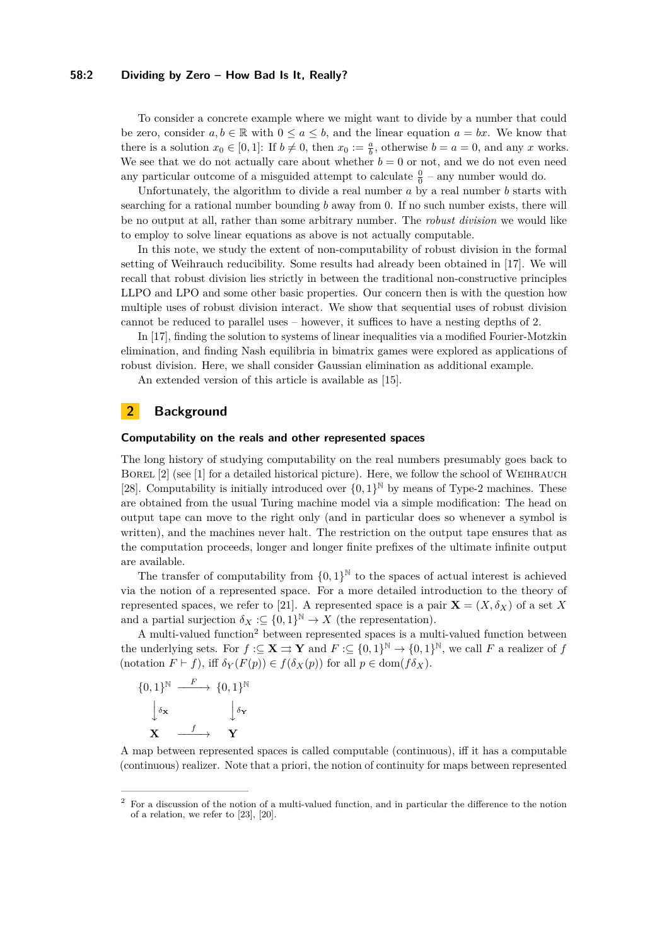### **58:2 Dividing by Zero – How Bad Is It, Really?**

To consider a concrete example where we might want to divide by a number that could be zero, consider  $a, b \in \mathbb{R}$  with  $0 \le a \le b$ , and the linear equation  $a = bx$ . We know that there is a solution  $x_0 \in [0, 1]$ : If  $b \neq 0$ , then  $x_0 := \frac{a}{b}$ , otherwise  $b = a = 0$ , and any *x* works. We see that we do not actually care about whether  $b = 0$  or not, and we do not even need any particular outcome of a misguided attempt to calculate  $\frac{0}{0}$  – any number would do.

Unfortunately, the algorithm to divide a real number *a* by a real number *b* starts with searching for a rational number bounding *b* away from 0. If no such number exists, there will be no output at all, rather than some arbitrary number. The *robust division* we would like to employ to solve linear equations as above is not actually computable.

In this note, we study the extent of non-computability of robust division in the formal setting of Weihrauch reducibility. Some results had already been obtained in [\[17\]](#page-13-1). We will recall that robust division lies strictly in between the traditional non-constructive principles LLPO and LPO and some other basic properties. Our concern then is with the question how multiple uses of robust division interact. We show that sequential uses of robust division cannot be reduced to parallel uses – however, it suffices to have a nesting depths of 2.

In [\[17\]](#page-13-1), finding the solution to systems of linear inequalities via a modified Fourier-Motzkin elimination, and finding Nash equilibria in bimatrix games were explored as applications of robust division. Here, we shall consider Gaussian elimination as additional example.

An extended version of this article is available as [\[15\]](#page-13-2).

### **2 Background**

### **Computability on the reals and other represented spaces**

The long history of studying computability on the real numbers presumably goes back to BOREL [\[2\]](#page-12-0) (see [\[1\]](#page-12-1) for a detailed historical picture). Here, we follow the school of WEIHRAUCH [\[28\]](#page-13-3). Computability is initially introduced over  $\{0,1\}^{\mathbb{N}}$  by means of Type-2 machines. These are obtained from the usual Turing machine model via a simple modification: The head on output tape can move to the right only (and in particular does so whenever a symbol is written), and the machines never halt. The restriction on the output tape ensures that as the computation proceeds, longer and longer finite prefixes of the ultimate infinite output are available.

The transfer of computability from  $\{0,1\}^{\mathbb{N}}$  to the spaces of actual interest is achieved via the notion of a represented space. For a more detailed introduction to the theory of represented spaces, we refer to [\[21\]](#page-13-4). A represented space is a pair  $\mathbf{X} = (X, \delta_X)$  of a set X and a partial surjection  $\delta_X : \subseteq \{0,1\}^{\mathbb{N}} \to X$  (the representation).

A multi-valued function<sup>[2](#page-1-0)</sup> between represented spaces is a multi-valued function between the underlying sets. For  $f : \subseteq \mathbf{X} \implies \mathbf{Y}$  and  $F : \subseteq \{0,1\}^{\mathbb{N}} \to \{0,1\}^{\mathbb{N}}$ , we call F a realizer of f (notation  $F \vdash f$ ), iff  $\delta_Y(F(p)) \in f(\delta_X(p))$  for all  $p \in \text{dom}(f\delta_X)$ .



A map between represented spaces is called computable (continuous), iff it has a computable (continuous) realizer. Note that a priori, the notion of continuity for maps between represented

<span id="page-1-0"></span><sup>2</sup> For a discussion of the notion of a multi-valued function, and in particular the difference to the notion of a relation, we refer to [\[23\]](#page-13-5), [\[20\]](#page-13-6).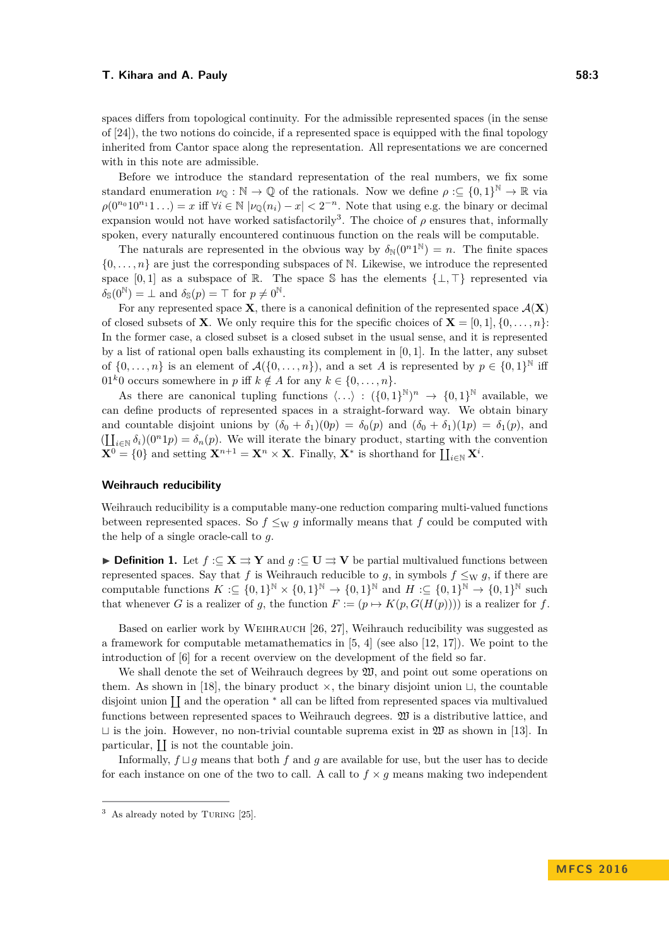spaces differs from topological continuity. For the admissible represented spaces (in the sense of [\[24\]](#page-13-7)), the two notions do coincide, if a represented space is equipped with the final topology inherited from Cantor space along the representation. All representations we are concerned with in this note are admissible.

Before we introduce the standard representation of the real numbers, we fix some standard enumeration  $\nu_{\mathbb{Q}} : \mathbb{N} \to \mathbb{Q}$  of the rationals. Now we define  $\rho : \subseteq \{0,1\}^{\mathbb{N}} \to \mathbb{R}$  via  $\rho(0^{n_0}10^{n_1}1...) = x$  iff  $\forall i \in \mathbb{N}$   $|\nu_{\mathbb{Q}}(n_i) - x| < 2^{-n}$ . Note that using e.g. the binary or decimal expansion would not have worked satisfactorily<sup>[3](#page-2-0)</sup>. The choice of  $\rho$  ensures that, informally spoken, every naturally encountered continuous function on the reals will be computable.

The naturals are represented in the obvious way by  $\delta_N(0^n 1^N) = n$ . The finite spaces  $\{0, \ldots, n\}$  are just the corresponding subspaces of N. Likewise, we introduce the represented space  $[0,1]$  as a subspace of R. The space S has the elements  $\{\perp, \top\}$  represented via  $\delta_{\mathbb{S}}(0^{\mathbb{N}}) = \bot$  and  $\delta_{\mathbb{S}}(p) = \top$  for  $p \neq 0^{\mathbb{N}}$ .

For any represented space **X**, there is a canonical definition of the represented space  $\mathcal{A}(\mathbf{X})$ of closed subsets of **X**. We only require this for the specific choices of **X** =  $[0,1]$ ,  $\{0,\ldots,n\}$ : In the former case, a closed subset is a closed subset in the usual sense, and it is represented by a list of rational open balls exhausting its complement in [0*,* 1]. In the latter, any subset of  $\{0,\ldots,n\}$  is an element of  $\mathcal{A}(\{0,\ldots,n\})$ , and a set *A* is represented by  $p \in \{0,1\}^{\mathbb{N}}$  iff 01<sup>k</sup>0 occurs somewhere in *p* iff  $k \notin A$  for any  $k \in \{0, \ldots, n\}.$ 

As there are canonical tupling functions  $\langle \ldots \rangle : ({0,1})^{\mathbb{N}} \to {0,1}^{\mathbb{N}}$  available, we can define products of represented spaces in a straight-forward way. We obtain binary and countable disjoint unions by  $(\delta_0 + \delta_1)(0p) = \delta_0(p)$  and  $(\delta_0 + \delta_1)(1p) = \delta_1(p)$ , and  $(\coprod_{i\in\mathbb{N}}\delta_i)(0^n1p)=\delta_n(p)$ . We will iterate the binary product, starting with the convention  $\mathbf{X}^0 = \{0\}$  and setting  $\mathbf{X}^{n+1} = \mathbf{X}^n \times \mathbf{X}$ . Finally,  $\mathbf{X}^*$  is shorthand for  $\prod_{i \in \mathbb{N}} \mathbf{X}^i$ .

### **Weihrauch reducibility**

Weihrauch reducibility is a computable many-one reduction comparing multi-valued functions between represented spaces. So  $f \leq_{\text{W}} g$  informally means that f could be computed with the help of a single oracle-call to *g*.

<span id="page-2-1"></span>**► Definition 1.** Let  $f: \subseteq \mathbf{X} \implies \mathbf{Y}$  and  $g: \subseteq \mathbf{U} \implies \mathbf{V}$  be partial multivalued functions between represented spaces. Say that *f* is Weihrauch reducible to *g*, in symbols  $f \leq_{W} g$ , if there are computable functions  $K \subset \{0,1\}^{\mathbb{N}} \times \{0,1\}^{\mathbb{N}} \to \{0,1\}^{\mathbb{N}}$  and  $H \subset \{0,1\}^{\mathbb{N}} \to \{0,1\}^{\mathbb{N}}$  such that whenever *G* is a realizer of *g*, the function  $F := (p \mapsto K(p, G(H(p))))$  is a realizer for *f*.

Based on earlier work by Weihrauch [\[26,](#page-13-8) [27\]](#page-13-9), Weihrauch reducibility was suggested as a framework for computable metamathematics in [\[5,](#page-12-2) [4\]](#page-12-3) (see also [\[12,](#page-12-4) [17\]](#page-13-1)). We point to the introduction of [\[6\]](#page-12-5) for a recent overview on the development of the field so far.

We shall denote the set of Weihrauch degrees by  $\mathfrak{W}$ , and point out some operations on them. As shown in [\[18\]](#page-13-10), the binary product  $\times$ , the binary disjoint union  $\sqcup$ , the countable disjoint union II and the operation  $*$  all can be lifted from represented spaces via multivalued functions between represented spaces to Weihrauch degrees. W is a distributive lattice, and  $\sqcup$  is the join. However, no non-trivial countable suprema exist in  $\mathfrak W$  as shown in [\[13\]](#page-12-6). In particular,  $\prod$  is not the countable join.

Informally,  $f \sqcup q$  means that both f and q are available for use, but the user has to decide for each instance on one of the two to call. A call to  $f \times g$  means making two independent

<span id="page-2-0"></span> $3$  As already noted by TURING [\[25\]](#page-13-11).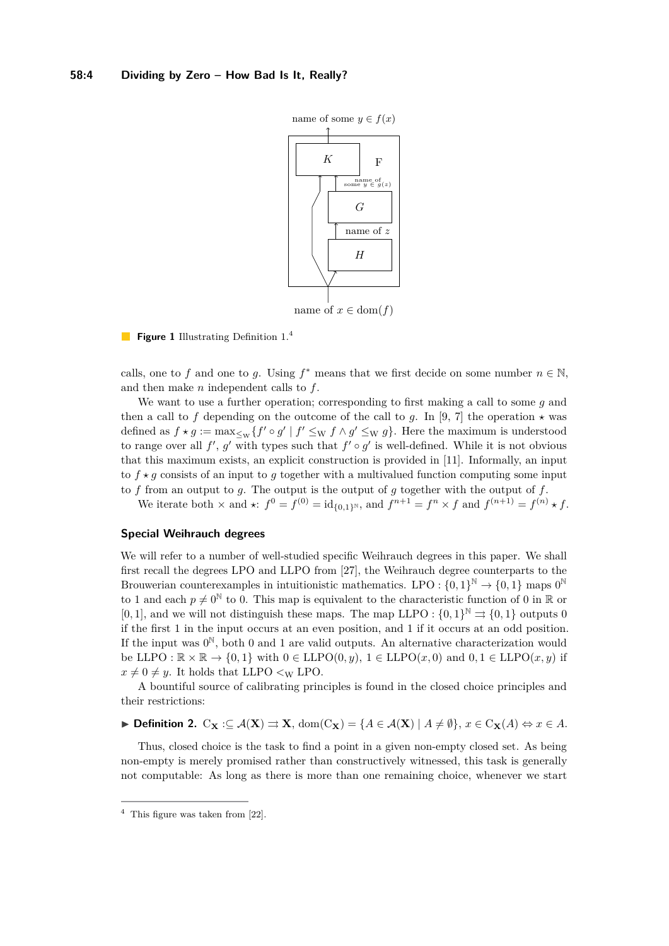

### **Figure 1** Illustrating Definition [1.](#page-2-1)<sup>[4](#page-3-0)</sup>

calls, one to *f* and one to *g*. Using  $f^*$  means that we first decide on some number  $n \in \mathbb{N}$ , and then make *n* independent calls to *f*.

We want to use a further operation; corresponding to first making a call to some *g* and then a call to f depending on the outcome of the call to g. In [\[9,](#page-12-7) [7\]](#page-12-8) the operation  $\star$  was defined as  $f \star g := \max_{\leq w} \{f' \circ g' \mid f' \leq w \}$   $f \wedge g' \leq w \}$ . Here the maximum is understood to range over all  $f'$ ,  $g'$  with types such that  $f' \circ g'$  is well-defined. While it is not obvious that this maximum exists, an explicit construction is provided in [\[11\]](#page-12-9). Informally, an input to  $f \star g$  consists of an input to g together with a multivalued function computing some input to *f* from an output to *g*. The output is the output of *g* together with the output of *f*.

We iterate both  $\times$  and  $\star$ :  $f^0 = f^{(0)} = id_{\{0,1\}^{\mathbb{N}}},$  and  $f^{n+1} = f^n \times f$  and  $f^{(n+1)} = f^{(n)} \star f$ .

### **Special Weihrauch degrees**

We will refer to a number of well-studied specific Weihrauch degrees in this paper. We shall first recall the degrees LPO and LLPO from [\[27\]](#page-13-9), the Weihrauch degree counterparts to the Brouwerian counterexamples in intuitionistic mathematics. LPO :  $\{0,1\}^{\mathbb{N}} \to \{0,1\}$  maps  $0^{\mathbb{N}}$ to 1 and each  $p \neq 0^{\mathbb{N}}$  to 0. This map is equivalent to the characteristic function of 0 in R or [0, 1], and we will not distinguish these maps. The map LLPO :  $\{0,1\}^{\mathbb{N}} \rightrightarrows \{0,1\}$  outputs 0 if the first 1 in the input occurs at an even position, and 1 if it occurs at an odd position. If the input was  $0^{\mathbb{N}}$ , both 0 and 1 are valid outputs. An alternative characterization would be LLPO :  $\mathbb{R} \times \mathbb{R} \to \{0,1\}$  with  $0 \in \text{LLPO}(0,y)$ ,  $1 \in \text{LLPO}(x,0)$  and  $0,1 \in \text{LLPO}(x,y)$  if  $x \neq 0 \neq y$ . It holds that LLPO  $\lt_W$  LPO.

A bountiful source of calibrating principles is found in the closed choice principles and their restrictions:

$$
\blacktriangleright \text{ Definition 2. } \mathrm{C}_{\mathbf{X}}:\subseteq \mathcal{A}(\mathbf{X})\rightrightarrows \mathbf{X}, \, \mathrm{dom}(\mathrm{C}_{\mathbf{X}})=\{A\in \mathcal{A}(\mathbf{X})\mid A\neq \emptyset\}, \, x\in \mathrm{C}_{\mathbf{X}}(A)\Leftrightarrow x\in A.
$$

Thus, closed choice is the task to find a point in a given non-empty closed set. As being non-empty is merely promised rather than constructively witnessed, this task is generally not computable: As long as there is more than one remaining choice, whenever we start

<span id="page-3-0"></span> $4$  This figure was taken from [\[22\]](#page-13-12).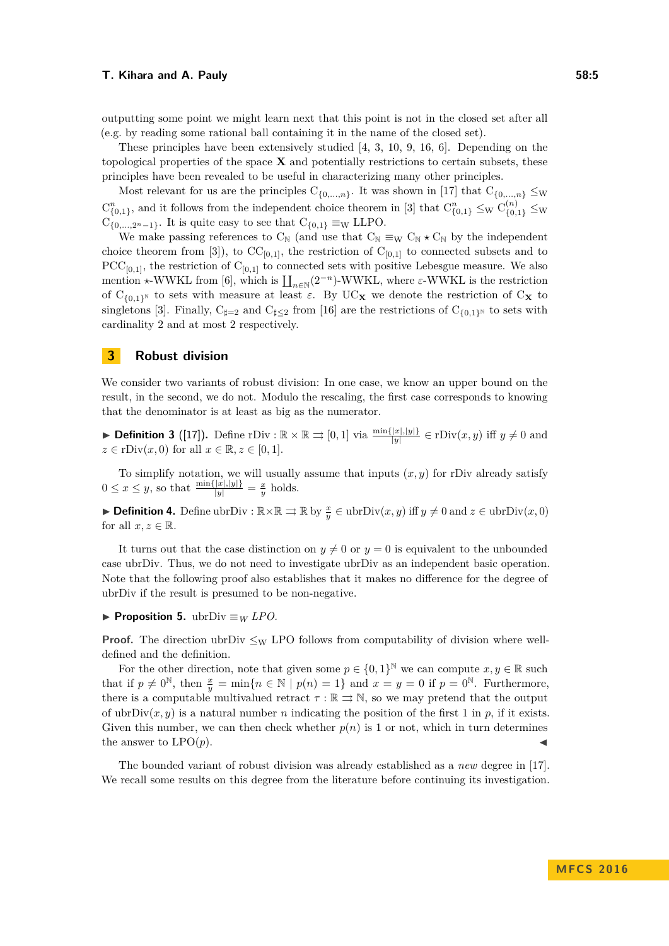outputting some point we might learn next that this point is not in the closed set after all (e.g. by reading some rational ball containing it in the name of the closed set).

These principles have been extensively studied [\[4,](#page-12-3) [3,](#page-12-10) [10,](#page-12-11) [9,](#page-12-7) [16,](#page-13-13) [6\]](#page-12-5). Depending on the topological properties of the space **X** and potentially restrictions to certain subsets, these principles have been revealed to be useful in characterizing many other principles.

Most relevant for us are the principles  $C_{\{0,\ldots,n\}}$ . It was shown in [\[17\]](#page-13-1) that  $C_{\{0,\ldots,n\}} \leq w$  $C_{\{0,1\}}^n$ , and it follows from the independent choice theorem in [\[3\]](#page-12-10) that  $C_{\{0,1\}}^n \leq_W C_{\{0,1\}}^{(n)} \leq_W$  $C_{\{0,\ldots,2^n-1\}}$ . It is quite easy to see that  $C_{\{0,1\}} \equiv_{\text{W}} \text{LLPO}$ .

We make passing references to  $C_N$  (and use that  $C_N \equiv_W C_N \star C_N$  by the independent choice theorem from [\[3\]](#page-12-10)), to  $CC_{[0,1]}$ , the restriction of  $C_{[0,1]}$  to connected subsets and to  $PCC_{[0,1]}$ , the restriction of  $C_{[0,1]}$  to connected sets with positive Lebesgue measure. We also mention  $\star$ -WWKL from [\[6\]](#page-12-5), which is  $\prod_{n\in\mathbb{N}}(2^{-n})$ -WWKL, where  $\varepsilon$ -WWKL is the restriction of C<sub>{0,1}</sub><sup>N</sup> to sets with measure at least  $\varepsilon$ . By UC<sub>X</sub> we denote the restriction of C<sub>X</sub> to singletons [\[3\]](#page-12-10). Finally,  $C_{\sharp=2}$  and  $C_{\sharp\leq2}$  from [\[16\]](#page-13-13) are the restrictions of  $C_{\{0,1\}^{\mathbb{N}}}$  to sets with cardinality 2 and at most 2 respectively.

### **3 Robust division**

We consider two variants of robust division: In one case, we know an upper bound on the result, in the second, we do not. Modulo the rescaling, the first case corresponds to knowing that the denominator is at least as big as the numerator.

▶ **Definition 3** ([\[17\]](#page-13-1)). Define rDiv :  $\mathbb{R} \times \mathbb{R} \Rightarrow [0, 1]$  via  $\frac{\min\{|x|, |y|\}}{|y|} \in \text{rDiv}(x, y)$  iff  $y \neq 0$  and  $z \in \text{rDiv}(x, 0)$  for all  $x \in \mathbb{R}, z \in [0, 1].$ 

To simplify notation, we will usually assume that inputs  $(x, y)$  for rDiv already satisfy  $0 \leq x \leq y$ , so that  $\frac{\min\{|x|,|y|\}}{|y|} = \frac{x}{y}$  holds.

► **Definition 4.** Define ubrDiv :  $\mathbb{R} \times \mathbb{R} \Rightarrow \mathbb{R}$  by  $\frac{x}{y} \in \text{ubrDiv}(x, y)$  iff  $y \neq 0$  and  $z \in \text{ubrDiv}(x, 0)$ for all  $x, z \in \mathbb{R}$ .

It turns out that the case distinction on  $y \neq 0$  or  $y = 0$  is equivalent to the unbounded case ubrDiv. Thus, we do not need to investigate ubrDiv as an independent basic operation. Note that the following proof also establishes that it makes no difference for the degree of ubrDiv if the result is presumed to be non-negative.

**► Proposition 5.** ubrDiv  $\equiv$  *W LPO*.

**Proof.** The direction ubrDiv  $\leq_{\text{W}}$  LPO follows from computability of division where welldefined and the definition.

For the other direction, note that given some  $p \in \{0,1\}^{\mathbb{N}}$  we can compute  $x, y \in \mathbb{R}$  such that if  $p \neq 0^{\mathbb{N}}$ , then  $\frac{x}{y} = \min\{n \in \mathbb{N} \mid p(n) = 1\}$  and  $x = y = 0$  if  $p = 0^{\mathbb{N}}$ . Furthermore, there is a computable multivalued retract  $\tau : \mathbb{R} \rightrightarrows \mathbb{N}$ , so we may pretend that the output of ubrDiv $(x, y)$  is a natural number *n* indicating the position of the first 1 in *p*, if it exists. Given this number, we can then check whether  $p(n)$  is 1 or not, which in turn determines the answer to  $LPO(p)$ .

The bounded variant of robust division was already established as a *new* degree in [\[17\]](#page-13-1). We recall some results on this degree from the literature before continuing its investigation.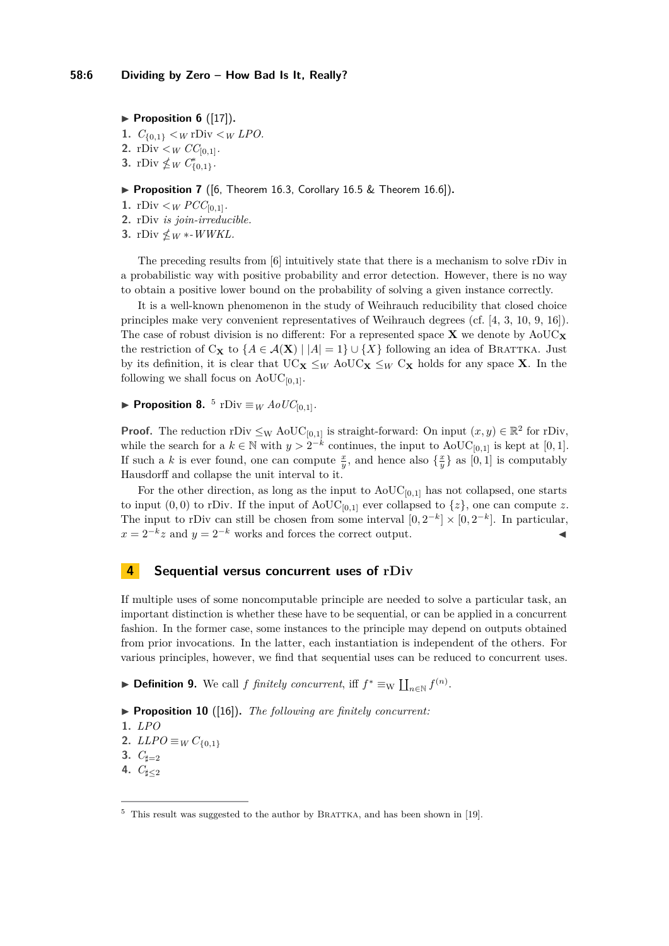<span id="page-5-2"></span> $\blacktriangleright$  **Proposition 6** ([\[17\]](#page-13-1)).

- **1.**  $C_{\{0,1\}} < W$  **rDiv**  $\lt W$  *LPO***.**
- **2.** rDiv  $\lt_W CC_{[0,1]}$ *.*
- **3.** rDiv  $\nleq_W C_{\{0,1\}}^*$ .

### ▶ **Proposition 7** ([\[6,](#page-12-5) Theorem 16.3, Corollary 16.5 & Theorem 16.6]).

- **1.** rDiv  $\lt_W PCC_{[0,1]}$ .
- **2.** rDiv *is join-irreducible.*
- **3.** rDiv  $\nleq_W$  \*-*WWKL*.

The preceding results from [\[6\]](#page-12-5) intuitively state that there is a mechanism to solve rDiv in a probabilistic way with positive probability and error detection. However, there is no way to obtain a positive lower bound on the probability of solving a given instance correctly.

It is a well-known phenomenon in the study of Weihrauch reducibility that closed choice principles make very convenient representatives of Weihrauch degrees (cf. [\[4,](#page-12-3) [3,](#page-12-10) [10,](#page-12-11) [9,](#page-12-7) [16\]](#page-13-13)). The case of robust division is no different: For a represented space  $\bf{X}$  we denote by  $A \cdot oUC_{\bf{X}}$ the restriction of C<sub>X</sub> to  $\{A \in \mathcal{A}(\mathbf{X}) \mid |A| = 1\} \cup \{X\}$  following an idea of BRATTKA. Just by its definition, it is clear that  $UC_{\mathbf{X}} \leq_W \text{AoUC}_{\mathbf{X}} \leq_W C_{\mathbf{X}}$  holds for any space **X**. In the following we shall focus on  $AoUC_{[0,1]}$ .

<span id="page-5-1"></span>▶ **Proposition 8.**  $^5$  $^5$  rDiv  $\equiv$  *W*  $AoUC_{[0,1]}$ *.* 

**Proof.** The reduction rDiv  $\leq_W \text{AoUC}_{[0,1]}$  is straight-forward: On input  $(x, y) \in \mathbb{R}^2$  for rDiv, while the search for a  $k \in \mathbb{N}$  with  $y > 2^{-k}$  continues, the input to AoUC<sub>[0,1]</sub> is kept at [0,1]. If such a *k* is ever found, one can compute  $\frac{x}{y}$ , and hence also  $\{\frac{x}{y}\}\$ as  $[0,1]$  is computably Hausdorff and collapse the unit interval to it.

For the other direction, as long as the input to  $A_0UC_{[0,1]}$  has not collapsed, one starts to input  $(0,0)$  to rDiv. If the input of AoUC<sub>[0,1]</sub> ever collapsed to  $\{z\}$ , one can compute *z*. The input to rDiv can still be chosen from some interval  $[0, 2^{-k}] \times [0, 2^{-k}]$ . In particular,  $x = 2^{-k}z$  and  $y = 2^{-k}$  works and forces the correct output.

### **4 Sequential versus concurrent uses of rDiv**

If multiple uses of some noncomputable principle are needed to solve a particular task, an important distinction is whether these have to be sequential, or can be applied in a concurrent fashion. In the former case, some instances to the principle may depend on outputs obtained from prior invocations. In the latter, each instantiation is independent of the others. For various principles, however, we find that sequential uses can be reduced to concurrent uses.

▶ **Definition 9.** We call *f finitely concurrent*, iff  $f^* \equiv_{\text{W}} \coprod_{n \in \mathbb{N}} f^{(n)}$ .

▶ **Proposition 10** ([\[16\]](#page-13-13)). *The following are finitely concurrent:* 

**1.** *LPO*

**2.** *LLPO* ≡*W*  $C_{\{0,1\}}$ 

- **3.**  $C_{\sharp=2}$
- **4.**  $C_{\sharp \leq 2}$

<span id="page-5-0"></span> $5$  This result was suggested to the author by BRATTKA, and has been shown in [\[19\]](#page-13-14).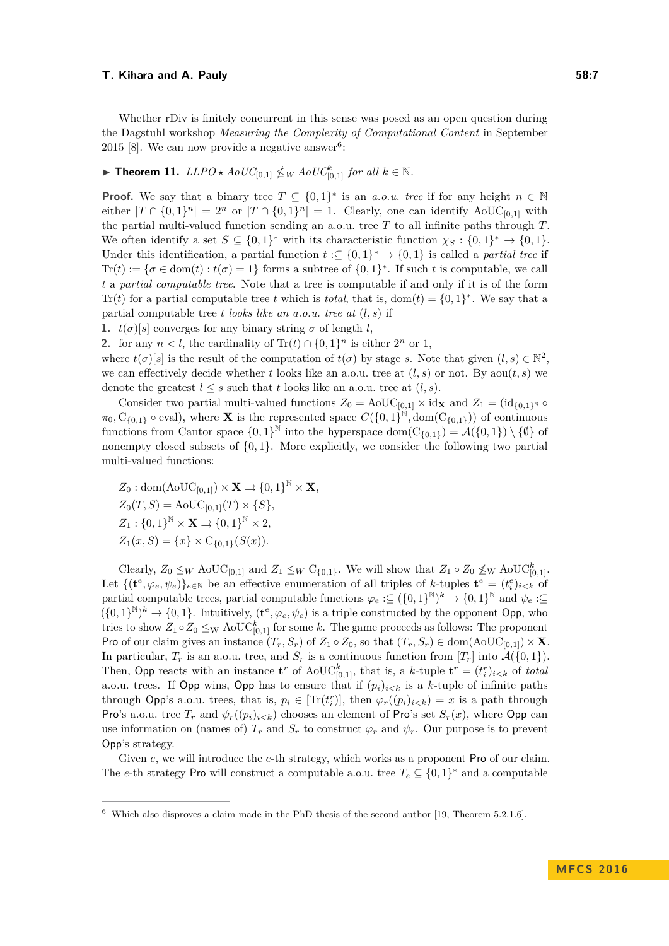Whether rDiv is finitely concurrent in this sense was posed as an open question during the Dagstuhl workshop *Measuring the Complexity of Computational Content* in September 2015 [\[8\]](#page-12-12). We can now provide a negative answer<sup>[6](#page-6-0)</sup>:

<span id="page-6-1"></span>▶ **Theorem 11.**  $LLPO \star AoUC_{[0,1]} \nleq W AoUC_{[0,1]}^k$  *for all*  $k \in \mathbb{N}$ .

**Proof.** We say that a binary tree  $T \subseteq \{0,1\}^*$  is an *a.o.u. tree* if for any height  $n \in \mathbb{N}$ either  $|T \cap \{0,1\}^n| = 2^n$  or  $|T \cap \{0,1\}^n| = 1$ . Clearly, one can identify  $A \text{o} \text{UC}_{[0,1]}$  with the partial multi-valued function sending an a.o.u. tree *T* to all infinite paths through *T*. We often identify a set  $S \subseteq \{0,1\}^*$  with its characteristic function  $\chi_S : \{0,1\}^* \to \{0,1\}.$ Under this identification, a partial function  $t \in \{0,1\}^* \to \{0,1\}$  is called a *partial tree* if  $\text{Tr}(t) := \{\sigma \in \text{dom}(t) : t(\sigma) = 1\}$  forms a subtree of  $\{0, 1\}^*$ . If such t is computable, we call *t* a *partial computable tree*. Note that a tree is computable if and only if it is of the form Tr(*t*) for a partial computable tree *t* which is *total*, that is, dom(*t*) =  $\{0, 1\}^*$ . We say that a partial computable tree *t looks like an a.o.u. tree at* (*l, s*) if

**1.**  $t(\sigma)[s]$  converges for any binary string  $\sigma$  of length *l*,

**2.** for any  $n < l$ , the cardinality of  $\text{Tr}(t) \cap \{0, 1\}^n$  is either  $2^n$  or 1,

where  $t(\sigma)[s]$  is the result of the computation of  $t(\sigma)$  by stage *s*. Note that given  $(l, s) \in \mathbb{N}^2$ , we can effectively decide whether *t* looks like an a.o.u. tree at  $(l, s)$  or not. By aou $(t, s)$  we denote the greatest  $l \leq s$  such that t looks like an a.o.u. tree at  $(l, s)$ .

Consider two partial multi-valued functions  $Z_0 = \text{AoUC}_{[0,1]} \times id_{\mathbf{X}}$  and  $Z_1 = (id_{\{0,1\}^{\mathbb{N}}} \circ$  $\pi_0$ ,  $C_{\{0,1\}}$   $\circ$  eval), where **X** is the represented space  $C(\{0,1\}^{\mathbb{N}}, \text{dom}(C_{\{0,1\}}))$  of continuous functions from Cantor space  $\{0,1\}^{\mathbb{N}}$  into the hyperspace dom $(C_{\{0,1\}}) = \mathcal{A}(\{0,1\}) \setminus \{\emptyset\}$  of nonempty closed subsets of {0*,* 1}. More explicitly, we consider the following two partial multi-valued functions:

$$
Z_0: dom(AoUC_{[0,1]}) \times \mathbf{X} \rightrightarrows \{0,1\}^{\mathbb{N}} \times \mathbf{X},
$$
  
\n
$$
Z_0(T, S) = AoUC_{[0,1]}(T) \times \{S\},
$$
  
\n
$$
Z_1: \{0,1\}^{\mathbb{N}} \times \mathbf{X} \rightrightarrows \{0,1\}^{\mathbb{N}} \times 2,
$$
  
\n
$$
Z_1(x, S) = \{x\} \times C_{\{0,1\}}(S(x)).
$$

Clearly,  $Z_0 \leq_W \text{AoUC}_{[0,1]}$  and  $Z_1 \leq_W \text{C}_{\{0,1\}}$ . We will show that  $Z_1 \circ Z_0 \nleq_W \text{AoUC}_{[0,1]}^k$ . Let  $\{(\mathbf{t}^e, \varphi_e, \psi_e)\}_{e \in \mathbb{N}}$  be an effective enumeration of all triples of *k*-tuples  $\mathbf{t}^e = (t_i^e)_{i \leq k}$  of partial computable trees, partial computable functions  $\varphi_e : \subseteq (\{0,1\}^{\mathbb{N}})^k \to \{0,1\}^{\mathbb{N}}$  and  $\psi_e : \subseteq$  $(\{0,1\}^{\mathbb{N}})^k \to \{0,1\}$ . Intuitively,  $(\mathbf{t}^e, \varphi_e, \psi_e)$  is a triple constructed by the opponent Opp, who tries to show  $Z_1 \circ Z_0 \leq_{\text{W}} \text{AoUC}_{[0,1]}^k$  for some *k*. The game proceeds as follows: The proponent Pro of our claim gives an instance  $(T_r, S_r)$  of  $Z_1 \circ Z_0$ , so that  $(T_r, S_r) \in \text{dom}(\text{AoUC}_{[0,1]}) \times \mathbf{X}$ . In particular,  $T_r$  is an a.o.u. tree, and  $S_r$  is a continuous function from  $[T_r]$  into  $\mathcal{A}(\{0,1\})$ . Then, Opp reacts with an instance  $\mathbf{t}^r$  of AoUC<sub>[0,1]</sub>, that is, a *k*-tuple  $\mathbf{t}^r = (t_i^r)_{i \leq k}$  of *total* a.o.u. trees. If Opp wins, Opp has to ensure that if  $(p_i)_{i \leq k}$  is a *k*-tuple of infinite paths through Opp's a.o.u. trees, that is,  $p_i \in [\text{Tr}(t_i^r)]$ , then  $\varphi_r((p_i)_{i \leq k}) = x$  is a path through Pro's a.o.u. tree  $T_r$  and  $\psi_r(\{p_i\}_{i\leq k})$  chooses an element of Pro's set  $S_r(x)$ , where Opp can use information on (names of)  $T_r$  and  $S_r$  to construct  $\varphi_r$  and  $\psi_r$ . Our purpose is to prevent Opp's strategy.

Given *e*, we will introduce the *e*-th strategy, which works as a proponent Pro of our claim. The *e*-th strategy Pro will construct a computable a.o.u. tree  $T_e \subseteq \{0,1\}^*$  and a computable

<span id="page-6-0"></span> $6\text{ Which also disprows a claim made in the PhD thesis of the second author [19, Theorem 5.2.1.6].}$  $6\text{ Which also disprows a claim made in the PhD thesis of the second author [19, Theorem 5.2.1.6].}$  $6\text{ Which also disprows a claim made in the PhD thesis of the second author [19, Theorem 5.2.1.6].}$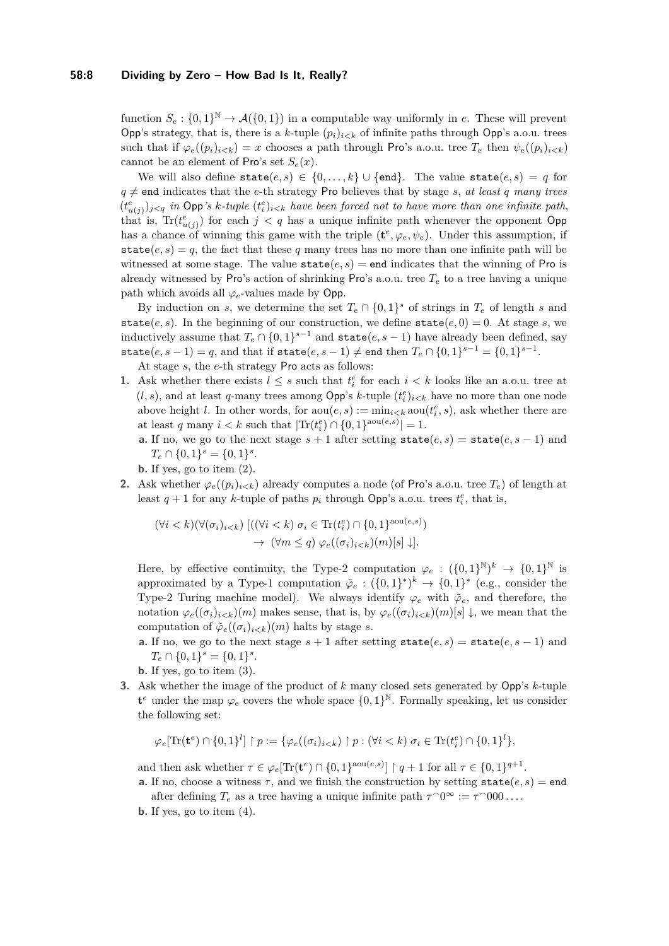function  $S_e: \{0,1\}^{\mathbb{N}} \to \mathcal{A}(\{0,1\})$  in a computable way uniformly in *e*. These will prevent Opp's strategy, that is, there is a *k*-tuple  $(p_i)_{i \leq k}$  of infinite paths through Opp's a.o.u. trees such that if  $\varphi_e((p_i)_{i \le k}) = x$  chooses a path through Pro's a.o.u. tree  $T_e$  then  $\psi_e((p_i)_{i \le k})$ cannot be an element of Pro's set  $S_e(x)$ .

We will also define  $\text{state}(e, s) \in \{0, \ldots, k\} \cup \{\text{end}\}.$  The value  $\text{state}(e, s) = q$  for  $q \neq$  end indicates that the *e*-th strategy Pro believes that by stage *s*, *at least q many trees*  $(t_{u(j)}^e)_{j \leq q}$  *in* Opp's *k*-tuple  $(t_i^e)_{i \leq k}$  have been forced not to have more than one infinite path, that is,  $\text{Tr}(t_{u(j)}^e)$  for each  $j < q$  has a unique infinite path whenever the opponent Opp has a chance of winning this game with the triple  $(\mathbf{t}^e, \varphi_e, \psi_e)$ . Under this assumption, if state $(e, s) = q$ , the fact that these q many trees has no more than one infinite path will be witnessed at some stage. The value  $state(e, s) = end$  indicates that the winning of Pro is already witnessed by Pro's action of shrinking Pro's a.o.u. tree  $T_e$  to a tree having a unique path which avoids all  $\varphi_e$ -values made by Opp.

By induction on *s*, we determine the set  $T_e \cap \{0,1\}^s$  of strings in  $T_e$  of length *s* and state(*e, s*). In the beginning of our construction, we define  $state(e, 0) = 0$ . At stage *s*, we inductively assume that  $T_e \cap \{0,1\}^{s-1}$  and  $\text{state}(e, s-1)$  have already been defined, say  $\texttt{state}(e, s - 1) = q$ , and that if  $\texttt{state}(e, s - 1) \neq \texttt{end}$  then  $T_e \cap \{0, 1\}^{s-1} = \{0, 1\}^{s-1}$ .

At stage *s*, the *e*-th strategy Pro acts as follows:

- **1.** Ask whether there exists  $l \leq s$  such that  $t_i^e$  for each  $i < k$  looks like an a.o.u. tree at  $(l, s)$ , and at least *q*-many trees among Opp's *k*-tuple  $(t_i^e)_{i \le k}$  have no more than one node above height *l*. In other words, for  $\text{aou}(e, s) := \min_{i \leq k} \text{aou}(t_i^e, s)$ , ask whether there are at least *q* many  $i < k$  such that  $|\text{Tr}(t_i^e) \cap \{0, 1\}^{\text{aou}(e, s)}| = 1$ .
	- **a.** If no, we go to the next stage  $s + 1$  after setting  $state(e, s) = state(e, s 1)$  and  $T_e \cap \{0, 1\}^s = \{0, 1\}^s$ .
	- **b.** If yes, go to item (2).
- **2.** Ask whether  $\varphi_e((p_i)_{i\leq k})$  already computes a node (of Pro's a.o.u. tree  $T_e$ ) of length at least  $q + 1$  for any *k*-tuple of paths  $p_i$  through Opp's a.o.u. trees  $t_i^e$ , that is,

$$
(\forall i < k)(\forall (\sigma_i)_{i < k}) \left[ ((\forall i < k) \ \sigma_i \in \text{Tr}(t_i^e) \cap \{0, 1\}^{\text{aou}(e, s)}) \rightarrow (\forall m \leq q) \ \varphi_e((\sigma_i)_{i < k})(m)[s] \downarrow \right].
$$

Here, by effective continuity, the Type-2 computation  $\varphi_e: (\{0,1\}^{\mathbb{N}})^k \to \{0,1\}^{\mathbb{N}}$  is approximated by a Type-1 computation  $\tilde{\varphi}_e : (\{0,1\}^*)^k \to \{0,1\}^*$  (e.g., consider the Type-2 Turing machine model). We always identify  $\varphi_e$  with  $\tilde{\varphi}_e$ , and therefore, the notation  $\varphi_e((\sigma_i)_{i\leq k})(m)$  makes sense, that is, by  $\varphi_e((\sigma_i)_{i\leq k})(m)[s] \downarrow$ , we mean that the computation of  $\tilde{\varphi}_e((\sigma_i)_{i \leq k})(m)$  halts by stage *s*.

- **a.** If no, we go to the next stage  $s + 1$  after setting state(*e, s*) = state(*e, s* − 1) and  $T_e \cap \{0, 1\}^s = \{0, 1\}^s$ .
- **b.** If yes, go to item (3).
- **3.** Ask whether the image of the product of *k* many closed sets generated by Opp's *k*-tuple  $\mathbf{t}^e$  under the map  $\varphi_e$  covers the whole space  $\{0,1\}^{\mathbb{N}}$ . Formally speaking, let us consider the following set:

$$
\varphi_e[\text{Tr}(\mathbf{t}^e) \cap \{0,1\}^l] \restriction p := \{ \varphi_e((\sigma_i)_{i < k}) \restriction p : (\forall i < k) \ \sigma_i \in \text{Tr}(t^e_i) \cap \{0,1\}^l \},
$$

and then ask whether  $\tau \in \varphi_e[\text{Tr}(\mathbf{t}^e) \cap \{0,1\}^{\text{aou}(e,s)}] \restriction q+1$  for all  $\tau \in \{0,1\}^{q+1}$ .

**a.** If no, choose a witness  $\tau$ , and we finish the construction by setting state $(e, s) =$  end after defining  $T_e$  as a tree having a unique infinite path  $\tau$ <sup> $\gamma$ </sup><sup> $\in$ </sup>  $\tau$ <sup> $\gamma$ </sup><sup>000</sup>....

**b.** If yes, go to item (4).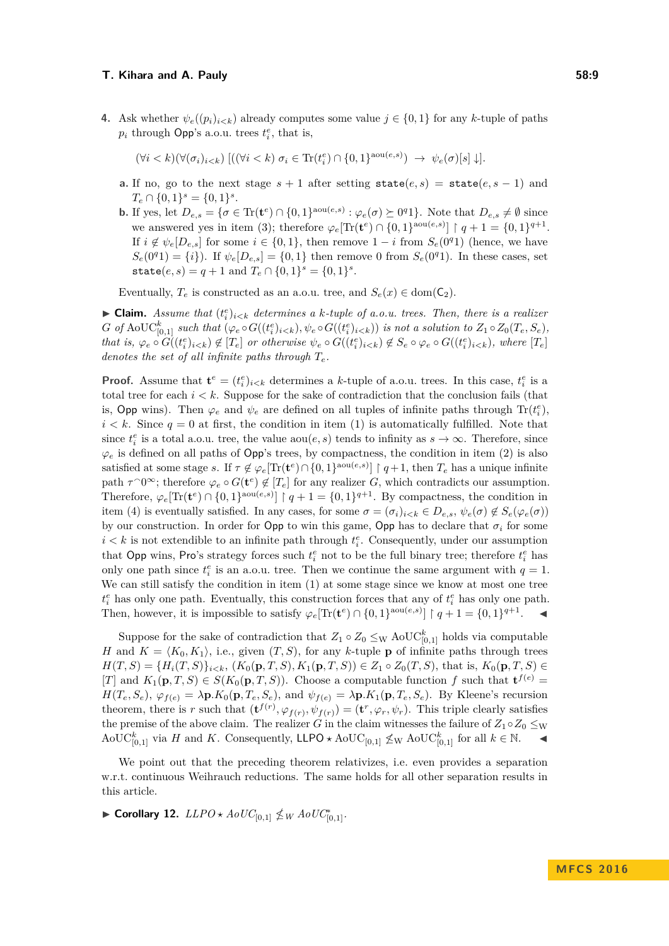**4.** Ask whether  $\psi_e((p_i)_{i \leq k})$  already computes some value  $j \in \{0, 1\}$  for any *k*-tuple of paths  $p_i$  through Opp's a.o.u. trees  $t_i^e$ , that is,

 $(\forall i < k)(\forall (\sigma_i)_{i < k})$   $[( (\forall i < k) \ \sigma_i \in \text{Tr}(t_i^e) \cap \{0,1\}^{\text{aou}(e,s)}) \rightarrow \psi_e(\sigma)[s] \downarrow].$ 

- **a.** If no, go to the next stage  $s + 1$  after setting state $(e, s) =$  state $(e, s 1)$  and  $T_e \cap \{0,1\}^s = \{0,1\}^s$ .
- **b.** If yes, let  $D_{e,s} = \{\sigma \in \text{Tr}(\mathbf{t}^e) \cap \{0,1\}^{\text{aou}(e,s)} : \varphi_e(\sigma) \succeq 0^q 1\}$ . Note that  $D_{e,s} \neq \emptyset$  since we answered yes in item (3); therefore  $\varphi_e[\text{Tr}(\mathbf{t}^e) \cap \{0,1\}^{\text{aou}(e,s)}] \restriction q+1 = \{0,1\}^{q+1}$ . If  $i \notin \psi_e[D_{e,s}]$  for some  $i \in \{0,1\}$ , then remove  $1-i$  from  $S_e(0^q1)$  (hence, we have  $S_e(0^q1) = \{i\}$ . If  $\psi_e[D_{e,s}] = \{0,1\}$  then remove 0 from  $S_e(0^q1)$ . In these cases, set state $(e, s) = q + 1$  and  $T_e \cap \{0, 1\}^s = \{0, 1\}^s$ .

Eventually,  $T_e$  is constructed as an a.o.u. tree, and  $S_e(x) \in \text{dom}(\mathsf{C}_2)$ .

 $\blacktriangleright$  **Claim.** Assume that  $(t_i^e)_{i \leq k}$  determines a *k*-tuple of a.o.u. trees. Then, there is a realizer  $G$  of  $\mathrm{AoUC}_{[0,1]}^k$  such that  $(\varphi_e \circ G((t_i^e)_{i \le k}), \psi_e \circ G((t_i^e)_{i \le k}))$  is not a solution to  $Z_1 \circ Z_0(T_e, S_e)$ , that is,  $\varphi_e \circ G((t_i^e)_{i \le k}) \notin [T_e]$  or otherwise  $\psi_e \circ G((t_i^e)_{i \le k}) \notin S_e \circ \varphi_e \circ G((t_i^e)_{i \le k}),$  where  $[T_e]$ *denotes the set of all infinite paths through Te.*

**Proof.** Assume that  $\mathbf{t}^e = (t_i^e)_{i \le k}$  determines a *k*-tuple of a.o.u. trees. In this case,  $t_i^e$  is a total tree for each  $i < k$ . Suppose for the sake of contradiction that the conclusion fails (that is, Opp wins). Then  $\varphi_e$  and  $\psi_e$  are defined on all tuples of infinite paths through  $\text{Tr}(t_i^e)$ ,  $i < k$ . Since  $q = 0$  at first, the condition in item (1) is automatically fulfilled. Note that since  $t_i^e$  is a total a.o.u. tree, the value  $\text{aou}(e, s)$  tends to infinity as  $s \to \infty$ . Therefore, since  $\varphi_e$  is defined on all paths of Opp's trees, by compactness, the condition in item (2) is also satisfied at some stage *s*. If  $\tau \notin \varphi_e[\text{Tr}(\mathbf{t}^e) \cap \{0,1\}^{\text{aou}(e,s)}]$  |  $q+1$ , then  $T_e$  has a unique infinite path  $\tau^0$ <sup>∞</sup>; therefore  $\varphi_e \circ G(\mathbf{t}^e) \notin [T_e]$  for any realizer *G*, which contradicts our assumption. Therefore,  $\varphi_e[\text{Tr}(\mathbf{t}^e) \cap \{0,1\}^{\text{aou}(e,s)}]$  |  $q+1 = \{0,1\}^{q+1}$ . By compactness, the condition in item (4) is eventually satisfied. In any cases, for some  $\sigma = (\sigma_i)_{i \leq k} \in D_{e,s}$ ,  $\psi_e(\sigma) \notin S_e(\varphi_e(\sigma))$ by our construction. In order for Opp to win this game, Opp has to declare that  $\sigma_i$  for some  $i < k$  is not extendible to an infinite path through  $t_i^e$ . Consequently, under our assumption that Opp wins, Pro's strategy forces such  $t_i^e$  not to be the full binary tree; therefore  $t_i^e$  has only one path since  $t_i^e$  is an a.o.u. tree. Then we continue the same argument with  $q = 1$ . We can still satisfy the condition in item  $(1)$  at some stage since we know at most one tree  $t_i^e$  has only one path. Eventually, this construction forces that any of  $t_i^e$  has only one path. Then, however, it is impossible to satisfy  $\varphi_e[\text{Tr}(\mathbf{t}^e) \cap \{0,1\}^{\text{aou}(e,s)}] \upharpoonright q+1 = \{0,1\}^{q+1}$ .

Suppose for the sake of contradiction that  $Z_1 \circ Z_0 \leq_{\text{W}} \text{AoUC}_{[0,1]}^k$  holds via computable *H* and  $K = \langle K_0, K_1 \rangle$ , i.e., given  $(T, S)$ , for any *k*-tuple **p** of infinite paths through trees *H*(*T, S*) = { $H_i(T, S)$ } $_i \le k$ , ( $K_0(\mathbf{p}, T, S)$ ,  $K_1(\mathbf{p}, T, S)$ ) ∈  $Z_1 ∘ Z_0(T, S)$ , that is,  $K_0(\mathbf{p}, T, S) ∈$ [*T*] and  $K_1(\mathbf{p}, T, S) \in S(K_0(\mathbf{p}, T, S))$ . Choose a computable function *f* such that  $\mathbf{t}^{f(e)} =$  $H(T_e, S_e)$ ,  $\varphi_{f(e)} = \lambda \mathbf{p} \cdot K_0(\mathbf{p}, T_e, S_e)$ , and  $\psi_{f(e)} = \lambda \mathbf{p} \cdot K_1(\mathbf{p}, T_e, S_e)$ . By Kleene's recursion theorem, there is *r* such that  $(\mathbf{t}^{f(r)}, \varphi_{f(r)}, \psi_{f(r)}) = (\mathbf{t}^r, \varphi_r, \psi_r)$ . This triple clearly satisfies the premise of the above claim. The realizer *G* in the claim witnesses the failure of  $Z_1 \circ Z_0 \leq_W$  $A \odot \mathrm{UC}_{[0,1]}^k$  via *H* and *K*. Consequently, LLPO  $\star$  AoUC<sub>[0,1]</sub>  $\leq$ <sub>W</sub> AoUC<sub>[0,1]</sub> for all *k* ∈ N.  $\bullet$ 

We point out that the preceding theorem relativizes, i.e. even provides a separation w.r.t. continuous Weihrauch reductions. The same holds for all other separation results in this article.

<span id="page-8-0"></span>▶ **Corollary 12.**  $LLPO \star AoUC_{[0,1]} \nleq W AoUC_{[0,1]}^*$ .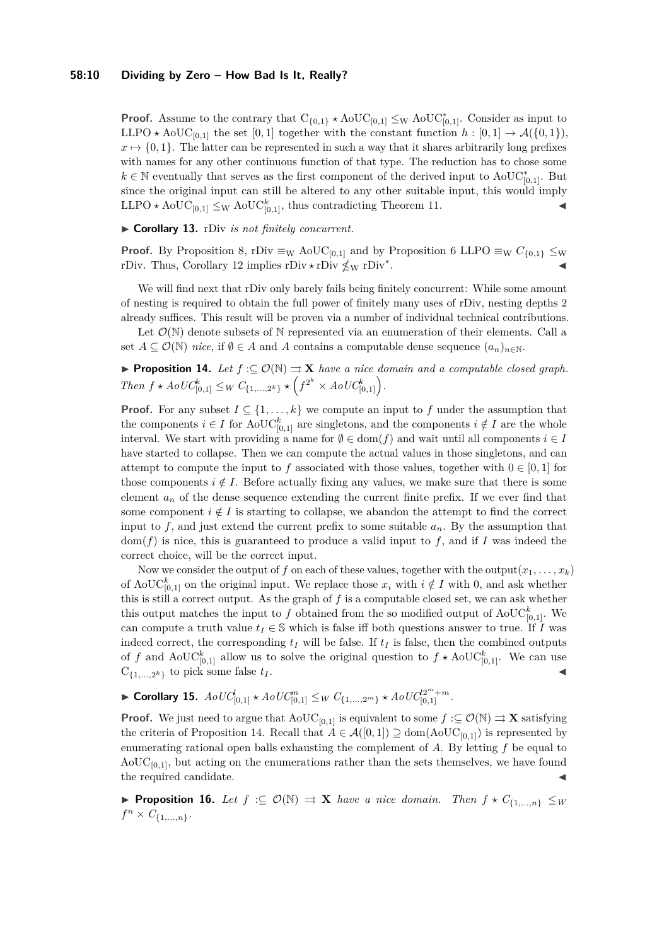### **58:10 Dividing by Zero – How Bad Is It, Really?**

**Proof.** Assume to the contrary that  $C_{\{0,1\}} \star \text{AoUC}_{[0,1]} \leq_{W} \text{AoUC}_{[0,1]}^*$ . Consider as input to LLPO  $\star$  AoUC<sub>[0,1]</sub> the set [0,1] together with the constant function  $h : [0,1] \to \mathcal{A}(\{0,1\}),$  $x \mapsto \{0, 1\}$ . The latter can be represented in such a way that it shares arbitrarily long prefixes with names for any other continuous function of that type. The reduction has to chose some  $k \in \mathbb{N}$  eventually that serves as the first component of the derived input to AoUC<sup>\*</sup><sub>[0,1]</sub>. But since the original input can still be altered to any other suitable input, this would imply LLPO  $\star$  AoUC<sub>[0,1]</sub>  $\leq$ <sub>W</sub> AoUC<sub>[0,1]</sub>, thus contradicting Theorem [11.](#page-6-1)

### ▶ Corollary 13. rDiv *is not finitely concurrent.*

**Proof.** By Proposition [8,](#page-5-1) rDiv  $\equiv_W \text{AoUC}_{[0,1]}$  and by Proposition [6](#page-5-2) LLPO  $\equiv_W C_{\{0,1\}} \leq_W$ rDiv. Thus, Corollary [12](#page-8-0) implies rDiv  $\star$  rDiv<sup>\*</sup> . J

We will find next that rDiv only barely fails being finitely concurrent: While some amount of nesting is required to obtain the full power of finitely many uses of rDiv, nesting depths 2 already suffices. This result will be proven via a number of individual technical contributions.

Let  $\mathcal{O}(\mathbb{N})$  denote subsets of N represented via an enumeration of their elements. Call a set  $A \subseteq \mathcal{O}(\mathbb{N})$  *nice*, if  $\emptyset \in A$  and A contains a computable dense sequence  $(a_n)_{n \in \mathbb{N}}$ .

<span id="page-9-0"></span>**► Proposition 14.** Let  $f: \subseteq \mathcal{O}(\mathbb{N}) \Rightarrow$  **X** *have a nice domain and a computable closed graph. Then*  $f \star AoUC_{[0,1]}^k \leq_W C_{\{1,\ldots,2^k\}} \star (f^{2^k} \times AoUC_{[0,1]}^k).$ 

**Proof.** For any subset  $I \subseteq \{1, ..., k\}$  we compute an input to f under the assumption that the components  $i \in I$  for AoUC<sup>k</sup><sub>[0,1]</sub> are singletons, and the components  $i \notin I$  are the whole interval. We start with providing a name for  $\emptyset \in \text{dom}(f)$  and wait until all components  $i \in I$ have started to collapse. Then we can compute the actual values in those singletons, and can attempt to compute the input to f associated with those values, together with  $0 \in [0, 1]$  for those components  $i \notin I$ . Before actually fixing any values, we make sure that there is some element  $a_n$  of the dense sequence extending the current finite prefix. If we ever find that some component  $i \notin I$  is starting to collapse, we abandon the attempt to find the correct input to  $f$ , and just extend the current prefix to some suitable  $a_n$ . By the assumption that  $dom(f)$  is nice, this is guaranteed to produce a valid input to  $f$ , and if  $I$  was indeed the correct choice, will be the correct input.

Now we consider the output of *f* on each of these values, together with the output $(x_1, \ldots, x_k)$ of AoUC<sup>k</sup><sub>[0,1]</sub> on the original input. We replace those  $x_i$  with  $i \notin I$  with 0, and ask whether this is still a correct output. As the graph of *f* is a computable closed set, we can ask whether this output matches the input to  $f$  obtained from the so modified output of  $\mathrm{AoUC}_{[0,1]}^k$ . We can compute a truth value  $t_I \in \mathbb{S}$  which is false iff both questions answer to true. If *I* was indeed correct, the corresponding  $t_I$  will be false. If  $t_I$  is false, then the combined outputs of f and  $A \text{o} \text{UC}_{[0,1]}^k$  allow us to solve the original question to  $f \star A \text{o} \text{UC}_{[0,1]}^k$ . We can use  $C_{\{1,\ldots,2^k\}}$  to pick some false  $t_I$ .

<span id="page-9-2"></span>
$$
\blacktriangleright \text{ Corollary 15. } AoUC_{[0,1]}^l \star AoUC_{[0,1]}^m \leq_W C_{\{1,\ldots,2^m\}} \star AoUC_{[0,1]}^{2^m+m}.
$$

**Proof.** We just need to argue that  $\text{AoUC}_{[0,1]}$  is equivalent to some  $f : \subseteq \mathcal{O}(\mathbb{N}) \Rightarrow \mathbf{X}$  satisfying the criteria of Proposition [14.](#page-9-0) Recall that  $A \in \mathcal{A}([0,1]) \supseteq \text{dom}(\text{AoUC}_{[0,1]})$  is represented by enumerating rational open balls exhausting the complement of *A*. By letting *f* be equal to  $A_0UC_{[0,1]}$ , but acting on the enumerations rather than the sets themselves, we have found the required candidate.

<span id="page-9-1"></span>**► Proposition 16.** Let  $f$  :⊆  $\mathcal{O}(\mathbb{N}) \implies$ **X** *have a nice domain. Then*  $f \star C_{\{1,\ldots,n\}} \leq w$  $f^{n} \times C_{\{1,...,n\}}$ .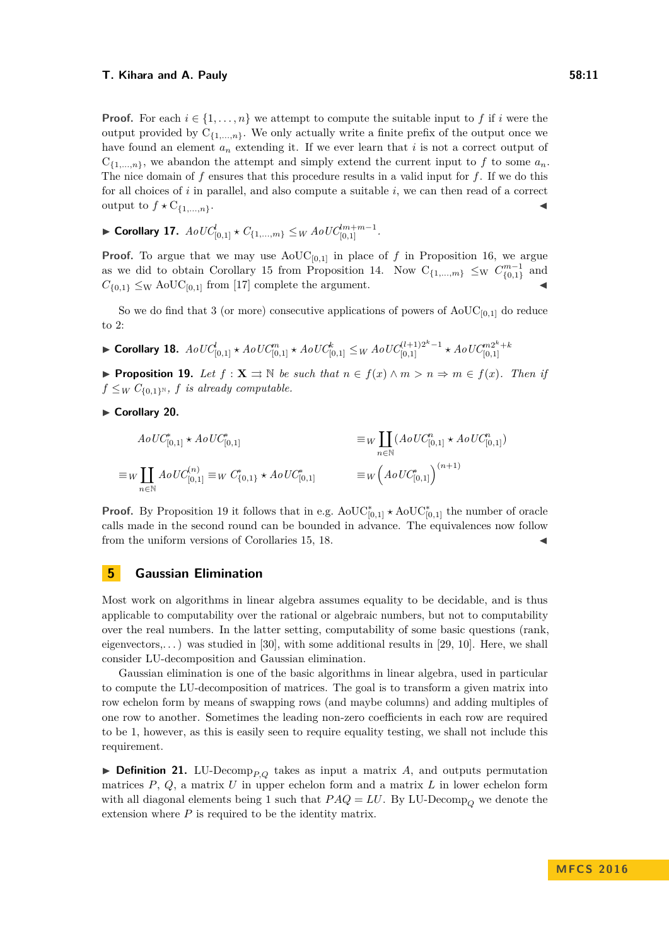**Proof.** For each  $i \in \{1, \ldots, n\}$  we attempt to compute the suitable input to f if *i* were the output provided by  $C_{\{1,\ldots,n\}}$ . We only actually write a finite prefix of the output once we have found an element *a<sup>n</sup>* extending it. If we ever learn that *i* is not a correct output of  $C_{\{1,\ldots,n\}}$ , we abandon the attempt and simply extend the current input to f to some  $a_n$ . The nice domain of *f* ensures that this procedure results in a valid input for *f*. If we do this for all choices of *i* in parallel, and also compute a suitable *i*, we can then read of a correct output to  $f \star C_{\{1,\ldots,n\}}$ .

<span id="page-10-2"></span>▶ Corollary 17.  $AoUC_{[0,1]}^l \star C_{\{1,...,m\}} \leq _W AoUC_{[0,1]}^{lm+m-1}.$ 

**Proof.** To argue that we may use  $\text{AoUC}_{[0,1]}$  in place of *f* in Proposition [16,](#page-9-1) we argue as we did to obtain Corollary [15](#page-9-2) from Proposition [14.](#page-9-0) Now  $C_{\{1,\ldots,m\}} \leq_W C_{\{0,1\}}^{m-1}$  and  $C_{\{0,1\}} \leq_{\text{W}} \text{AoUC}_{[0,1]}$  from [\[17\]](#page-13-1) complete the argument.

So we do find that 3 (or more) consecutive applications of powers of  $A_0U_{[0,1]}$  do reduce to 2:

<span id="page-10-1"></span>
$$
\blacktriangleright \text{ Corollary 18. } AoUC_{[0,1]}^l \star AoUC_{[0,1]}^m \star AoUC_{[0,1]}^k \leq W AoUC_{[0,1]}^{(l+1)2^k-1} \star AoUC_{[0,1]}^{m2^k+1}
$$

<span id="page-10-0"></span>**► Proposition 19.** Let  $f: \mathbf{X} \rightrightarrows \mathbb{N}$  be such that  $n \in f(x) \wedge m > n \Rightarrow m \in f(x)$ . Then if  $f \leq_W C_{\{0,1\}^{\mathbb{N}}}$ , *f is already computable.* 

► Corollary 20.

$$
AoUC_{[0,1]}^{*} \star AoUC_{[0,1]}^{*} \newline \equiv_W \prod_{n \in \mathbb{N}} (AoUC_{[0,1]}^{n} \star AoUC_{[0,1]}^{n}) \newline \equiv_W \prod_{n \in \mathbb{N}} AoUC_{[0,1]}^{(n)} \equiv_W C_{\{0,1\}}^{*} \star AoUC_{[0,1]}^{*} \newline \equiv_W (AoUC_{[0,1]}^{*})^{(n+1)}
$$

**Proof.** By Proposition [19](#page-10-0) it follows that in e.g.  $\text{AoUC}_{[0,1]}^* \star \text{AoUC}_{[0,1]}^*$  the number of oracle calls made in the second round can be bounded in advance. The equivalences now follow from the uniform versions of Corollaries [15,](#page-9-2) [18.](#page-10-1)

### **5 Gaussian Elimination**

Most work on algorithms in linear algebra assumes equality to be decidable, and is thus applicable to computability over the rational or algebraic numbers, but not to computability over the real numbers. In the latter setting, computability of some basic questions (rank, eigenvectors,...) was studied in [\[30\]](#page-13-15), with some additional results in [\[29,](#page-13-16) [10\]](#page-12-11). Here, we shall consider LU-decomposition and Gaussian elimination.

Gaussian elimination is one of the basic algorithms in linear algebra, used in particular to compute the LU-decomposition of matrices. The goal is to transform a given matrix into row echelon form by means of swapping rows (and maybe columns) and adding multiples of one row to another. Sometimes the leading non-zero coefficients in each row are required to be 1, however, as this is easily seen to require equality testing, we shall not include this requirement.

**Definition 21.** LU-Decomp<sub>*P,Q*</sub> takes as input a matrix *A*, and outputs permutation matrices  $P$ ,  $Q$ , a matrix  $U$  in upper echelon form and a matrix  $L$  in lower echelon form with all diagonal elements being 1 such that  $PAQ = LU$ . By LU-Decomp<sub>Q</sub> we denote the extension where  $P$  is required to be the identity matrix.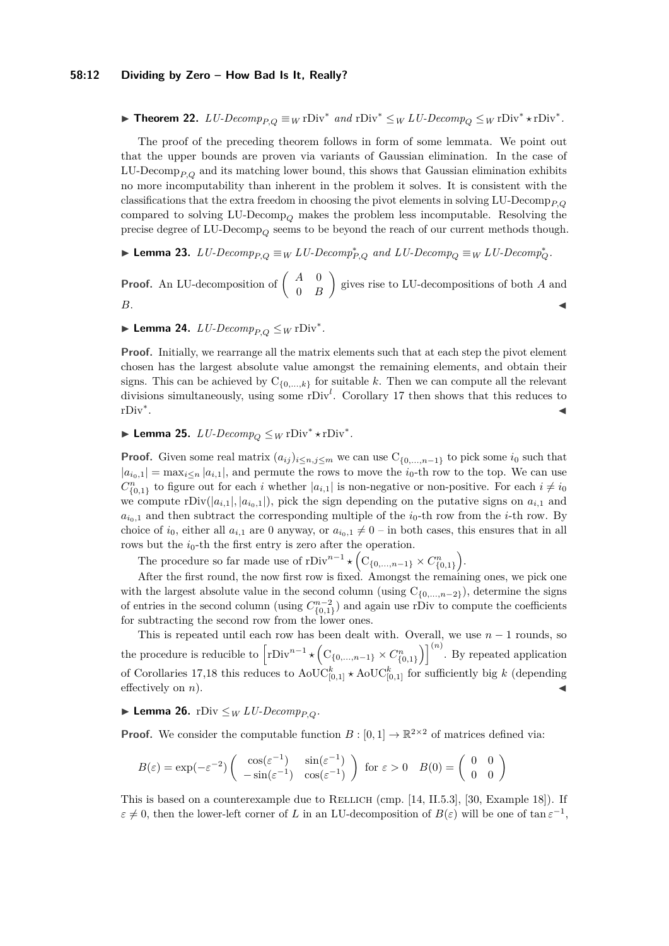#### **58:12 Dividing by Zero – How Bad Is It, Really?**

▶ **Theorem 22.**  $LU\text{-}Decomp_{P,Q} \equiv_W \text{rDiv}^*$  and  $\text{rDiv}^* \leq_W LU\text{-}Decomp_Q \leq_W \text{rDiv}^* \star \text{rDiv}^*$ .

The proof of the preceding theorem follows in form of some lemmata. We point out that the upper bounds are proven via variants of Gaussian elimination. In the case of LU-Decomp<sub>*P* $_{Q}$ </sub> and its matching lower bound, this shows that Gaussian elimination exhibits no more incomputability than inherent in the problem it solves. It is consistent with the classifications that the extra freedom in choosing the pivot elements in solving LU-Decomp<sub>P, $Q$ </sub> compared to solving  $LU\text{-}Decomp_{O}$  makes the problem less incomputable. Resolving the precise degree of LU-Decomp<sub> $O$ </sub> seems to be beyond the reach of our current methods though.

▶ Lemma 23.  $LU\text{-}Decomp_{P,Q} \equiv_W LU\text{-}Decomp_{P,Q}^*$  and  $LU\text{-}Decomp_Q \equiv_W LU\text{-}Decomp_Q^*$ .

**Proof.** An LU-decomposition of  $\begin{pmatrix} A & 0 \\ 0 & B \end{pmatrix}$ 0 *B* gives rise to LU-decompositions of both *A* and *B***.**  $\qquad \qquad$ 

► Lemma 24.  $LU\text{-}Decomp_{P,Q} \leq_W \text{rDiv}^*$ .

**Proof.** Initially, we rearrange all the matrix elements such that at each step the pivot element chosen has the largest absolute value amongst the remaining elements, and obtain their signs. This can be achieved by  $C_{\{0,\ldots,k\}}$  for suitable *k*. Then we can compute all the relevant divisions simultaneously, using some rDiv<sup>l</sup>. Corollary [17](#page-10-2) then shows that this reduces to rDiv<sup>∗</sup> . January 1980, and the control of the control of the control of the control of the control of the control of

► Lemma 25.  $LU\text{-}Decomp_Q \leq_W \text{rDiv}^* \star \text{rDiv}^*.$ 

**Proof.** Given some real matrix  $(a_{ij})_{i \leq n, j \leq m}$  we can use  $C_{\{0,\ldots,n-1\}}$  to pick some  $i_0$  such that  $|a_{i_0,1}| = \max_{i \leq n} |a_{i,1}|$ , and permute the rows to move the  $i_0$ -th row to the top. We can use  $C_{\{0,1\}}^n$  to figure out for each *i* whether  $|a_{i,1}|$  is non-negative or non-positive. For each  $i \neq i_0$ we compute  $rDiv(|a_{i,1}|, |a_{i_0,1}|)$ , pick the sign depending on the putative signs on  $a_{i,1}$  and  $a_{i0,1}$  and then subtract the corresponding multiple of the  $i_0$ -th row from the *i*-th row. By choice of  $i_0$ , either all  $a_{i,1}$  are 0 anyway, or  $a_{i_0,1} \neq 0$  – in both cases, this ensures that in all rows but the  $i_0$ -th the first entry is zero after the operation.

The procedure so far made use of  $rDiv^{n-1} \star (C_{\{0,\ldots,n-1\}} \times C_{\{0,1\}}^n)$ .

After the first round, the now first row is fixed. Amongst the remaining ones, we pick one with the largest absolute value in the second column (using  $C_{\{0,\ldots,n-2\}}$ ), determine the signs of entries in the second column (using  $C_{\{0,1\}}^{n-2}$ ) and again use rDiv to compute the coefficients for subtracting the second row from the lower ones.

This is repeated until each row has been dealt with. Overall, we use  $n-1$  rounds, so the procedure is reducible to  $\left[\text{rDiv}^{n-1} \star \left( \text{C}_{\{0,\ldots,n-1\}} \times C_{\{0,1\}}^n \right)\right]^{(n)}$ . By repeated application of Corollaries [17](#page-10-2)[,18](#page-10-1) this reduces to  $\mathrm{AoUC}_{[0,1]}^k$   $\star$   $\mathrm{AoUC}_{[0,1]}^k$  for sufficiently big *k* (depending effectively on  $n$ ).

## ▶ **Lemma 26.** rDiv  $\leq_W LU\text{-}Decomp_{P,Q}$ .

**Proof.** We consider the computable function  $B : [0,1] \to \mathbb{R}^{2 \times 2}$  of matrices defined via:

$$
B(\varepsilon) = \exp(-\varepsilon^{-2}) \begin{pmatrix} \cos(\varepsilon^{-1}) & \sin(\varepsilon^{-1}) \\ -\sin(\varepsilon^{-1}) & \cos(\varepsilon^{-1}) \end{pmatrix} \text{ for } \varepsilon > 0 \quad B(0) = \begin{pmatrix} 0 & 0 \\ 0 & 0 \end{pmatrix}
$$

This is based on a counterexample due to RELLICH (cmp. [\[14,](#page-12-13) II.5.3], [\[30,](#page-13-15) Example 18]). If  $\varepsilon \neq 0$ , then the lower-left corner of *L* in an LU-decomposition of  $B(\varepsilon)$  will be one of tan  $\varepsilon^{-1}$ ,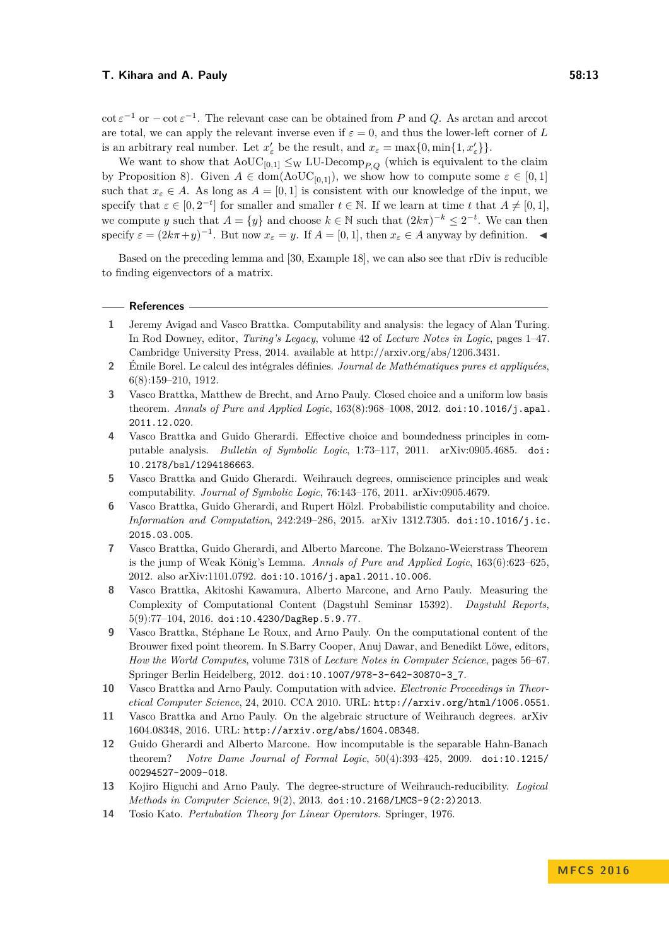$\cot \varepsilon^{-1}$  or  $-\cot \varepsilon^{-1}$ . The relevant case can be obtained from *P* and *Q*. As arctan and arccot are total, we can apply the relevant inverse even if  $\varepsilon = 0$ , and thus the lower-left corner of L is an arbitrary real number. Let  $x'_{\varepsilon}$  be the result, and  $x_{\varepsilon} = \max\{0, \min\{1, x'_{\varepsilon}\}\}.$ 

We want to show that  $\text{AoUC}_{[0,1]} \leq_{\text{W}} \text{LU-Decomp}_{P,Q}$  (which is equivalent to the claim by Proposition [8\)](#page-5-1). Given  $A \in \text{dom}(\text{AoUC}_{[0,1]})$ , we show how to compute some  $\varepsilon \in [0,1]$ such that  $x_{\varepsilon} \in A$ . As long as  $A = [0, 1]$  is consistent with our knowledge of the input, we specify that  $\varepsilon \in [0, 2^{-t}]$  for smaller and smaller  $t \in \mathbb{N}$ . If we learn at time *t* that  $A \neq [0, 1]$ , we compute *y* such that  $A = \{y\}$  and choose  $k \in \mathbb{N}$  such that  $(2k\pi)^{-k} \leq 2^{-t}$ . We can then specify  $\varepsilon = (2k\pi + y)^{-1}$ . But now  $x_{\varepsilon} = y$ . If  $A = [0, 1]$ , then  $x_{\varepsilon} \in A$  anyway by definition.

Based on the preceding lemma and [\[30,](#page-13-15) Example 18], we can also see that rDiv is reducible to finding eigenvectors of a matrix.

### **References**

- <span id="page-12-1"></span>**1** Jeremy Avigad and Vasco Brattka. Computability and analysis: the legacy of Alan Turing. In Rod Downey, editor, *Turing's Legacy*, volume 42 of *Lecture Notes in Logic*, pages 1–47. Cambridge University Press, 2014. available at http://arxiv.org/abs/1206.3431.
- <span id="page-12-0"></span>**2** Émile Borel. Le calcul des intégrales définies. *Journal de Mathématiques pures et appliquées*, 6(8):159–210, 1912.
- <span id="page-12-10"></span>**3** Vasco Brattka, Matthew de Brecht, and Arno Pauly. Closed choice and a uniform low basis theorem. *Annals of Pure and Applied Logic*, 163(8):968–1008, 2012. [doi:10.1016/j.apal.](http://dx.doi.org/10.1016/j.apal.2011.12.020) [2011.12.020](http://dx.doi.org/10.1016/j.apal.2011.12.020).
- <span id="page-12-3"></span>**4** Vasco Brattka and Guido Gherardi. Effective choice and boundedness principles in computable analysis. *Bulletin of Symbolic Logic*, 1:73–117, 2011. arXiv:0905.4685. [doi:](http://dx.doi.org/10.2178/bsl/1294186663) [10.2178/bsl/1294186663](http://dx.doi.org/10.2178/bsl/1294186663).
- <span id="page-12-2"></span>**5** Vasco Brattka and Guido Gherardi. Weihrauch degrees, omniscience principles and weak computability. *Journal of Symbolic Logic*, 76:143–176, 2011. arXiv:0905.4679.
- <span id="page-12-5"></span>**6** Vasco Brattka, Guido Gherardi, and Rupert Hölzl. Probabilistic computability and choice. *Information and Computation*, 242:249–286, 2015. arXiv 1312.7305. [doi:10.1016/j.ic.](http://dx.doi.org/10.1016/j.ic.2015.03.005) [2015.03.005](http://dx.doi.org/10.1016/j.ic.2015.03.005).
- <span id="page-12-8"></span>**7** Vasco Brattka, Guido Gherardi, and Alberto Marcone. The Bolzano-Weierstrass Theorem is the jump of Weak König's Lemma. *Annals of Pure and Applied Logic*, 163(6):623–625, 2012. also arXiv:1101.0792. [doi:10.1016/j.apal.2011.10.006](http://dx.doi.org/10.1016/j.apal.2011.10.006).
- <span id="page-12-12"></span>**8** Vasco Brattka, Akitoshi Kawamura, Alberto Marcone, and Arno Pauly. Measuring the Complexity of Computational Content (Dagstuhl Seminar 15392). *Dagstuhl Reports*, 5(9):77–104, 2016. [doi:10.4230/DagRep.5.9.77](http://dx.doi.org/10.4230/DagRep.5.9.77).
- <span id="page-12-7"></span>**9** Vasco Brattka, Stéphane Le Roux, and Arno Pauly. On the computational content of the Brouwer fixed point theorem. In S.Barry Cooper, Anuj Dawar, and Benedikt Löwe, editors, *How the World Computes*, volume 7318 of *Lecture Notes in Computer Science*, pages 56–67. Springer Berlin Heidelberg, 2012. [doi:10.1007/978-3-642-30870-3\\_7](http://dx.doi.org/10.1007/978-3-642-30870-3_7).
- <span id="page-12-11"></span>**10** Vasco Brattka and Arno Pauly. Computation with advice. *Electronic Proceedings in Theoretical Computer Science*, 24, 2010. CCA 2010. URL: <http://arxiv.org/html/1006.0551>.
- <span id="page-12-9"></span>**11** Vasco Brattka and Arno Pauly. On the algebraic structure of Weihrauch degrees. arXiv 1604.08348, 2016. URL: <http://arxiv.org/abs/1604.08348>.
- <span id="page-12-4"></span>**12** Guido Gherardi and Alberto Marcone. How incomputable is the separable Hahn-Banach theorem? *Notre Dame Journal of Formal Logic*, 50(4):393–425, 2009. [doi:10.1215/](http://dx.doi.org/10.1215/00294527-2009-018) [00294527-2009-018](http://dx.doi.org/10.1215/00294527-2009-018).
- <span id="page-12-6"></span>**13** Kojiro Higuchi and Arno Pauly. The degree-structure of Weihrauch-reducibility. *Logical Methods in Computer Science*, 9(2), 2013. [doi:10.2168/LMCS-9\(2:2\)2013](http://dx.doi.org/10.2168/LMCS-9(2:2)2013).
- <span id="page-12-13"></span>**14** Tosio Kato. *Pertubation Theory for Linear Operators*. Springer, 1976.